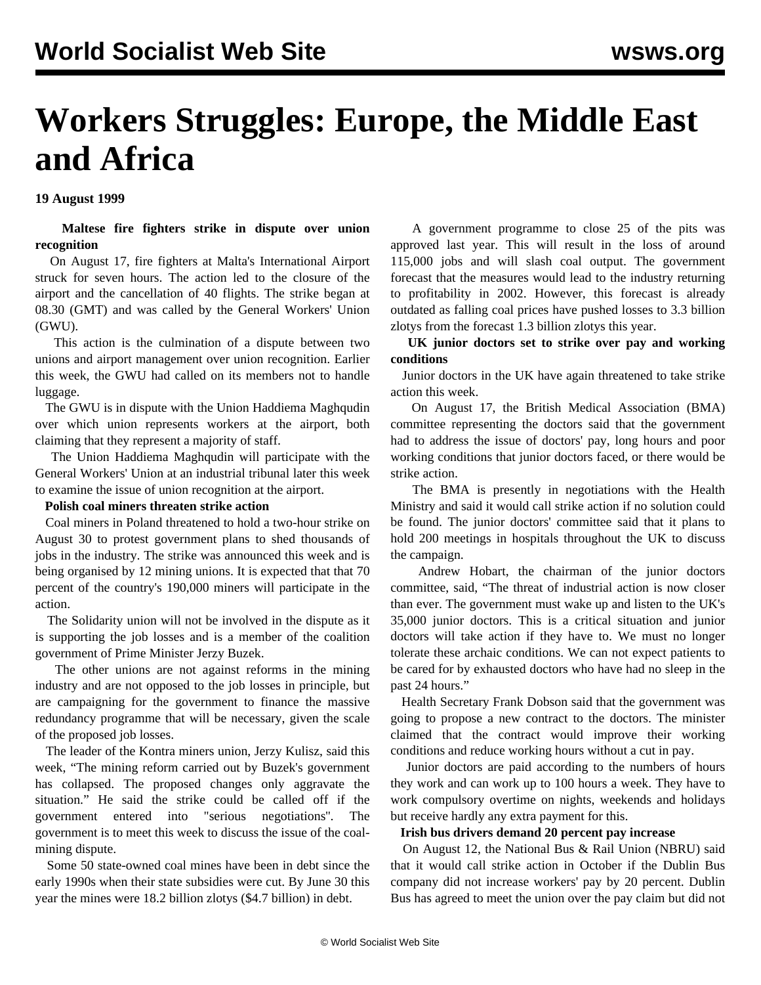# **Workers Struggles: Europe, the Middle East and Africa**

**19 August 1999**

 **Maltese fire fighters strike in dispute over union recognition**

 On August 17, fire fighters at Malta's International Airport struck for seven hours. The action led to the closure of the airport and the cancellation of 40 flights. The strike began at 08.30 (GMT) and was called by the General Workers' Union (GWU).

 This action is the culmination of a dispute between two unions and airport management over union recognition. Earlier this week, the GWU had called on its members not to handle luggage.

 The GWU is in dispute with the Union Haddiema Maghqudin over which union represents workers at the airport, both claiming that they represent a majority of staff.

 The Union Haddiema Maghqudin will participate with the General Workers' Union at an industrial tribunal later this week to examine the issue of union recognition at the airport.

## **Polish coal miners threaten strike action**

 Coal miners in Poland threatened to hold a two-hour strike on August 30 to protest government plans to shed thousands of jobs in the industry. The strike was announced this week and is being organised by 12 mining unions. It is expected that that 70 percent of the country's 190,000 miners will participate in the action.

 The Solidarity union will not be involved in the dispute as it is supporting the job losses and is a member of the coalition government of Prime Minister Jerzy Buzek.

 The other unions are not against reforms in the mining industry and are not opposed to the job losses in principle, but are campaigning for the government to finance the massive redundancy programme that will be necessary, given the scale of the proposed job losses.

 The leader of the Kontra miners union, Jerzy Kulisz, said this week, "The mining reform carried out by Buzek's government has collapsed. The proposed changes only aggravate the situation." He said the strike could be called off if the government entered into "serious negotiations''. The government is to meet this week to discuss the issue of the coalmining dispute.

 Some 50 state-owned coal mines have been in debt since the early 1990s when their state subsidies were cut. By June 30 this year the mines were 18.2 billion zlotys (\$4.7 billion) in debt.

 A government programme to close 25 of the pits was approved last year. This will result in the loss of around 115,000 jobs and will slash coal output. The government forecast that the measures would lead to the industry returning to profitability in 2002. However, this forecast is already outdated as falling coal prices have pushed losses to 3.3 billion zlotys from the forecast 1.3 billion zlotys this year.

 **UK junior doctors set to strike over pay and working conditions**

 Junior doctors in the UK have again threatened to take strike action this week.

 On August 17, the British Medical Association (BMA) committee representing the doctors said that the government had to address the issue of doctors' pay, long hours and poor working conditions that junior doctors faced, or there would be strike action.

 The BMA is presently in negotiations with the Health Ministry and said it would call strike action if no solution could be found. The junior doctors' committee said that it plans to hold 200 meetings in hospitals throughout the UK to discuss the campaign.

 Andrew Hobart, the chairman of the junior doctors committee, said, "The threat of industrial action is now closer than ever. The government must wake up and listen to the UK's 35,000 junior doctors. This is a critical situation and junior doctors will take action if they have to. We must no longer tolerate these archaic conditions. We can not expect patients to be cared for by exhausted doctors who have had no sleep in the past 24 hours."

 Health Secretary Frank Dobson said that the government was going to propose a new contract to the doctors. The minister claimed that the contract would improve their working conditions and reduce working hours without a cut in pay.

 Junior doctors are paid according to the numbers of hours they work and can work up to 100 hours a week. They have to work compulsory overtime on nights, weekends and holidays but receive hardly any extra payment for this.

#### **Irish bus drivers demand 20 percent pay increase**

 On August 12, the National Bus & Rail Union (NBRU) said that it would call strike action in October if the Dublin Bus company did not increase workers' pay by 20 percent. Dublin Bus has agreed to meet the union over the pay claim but did not